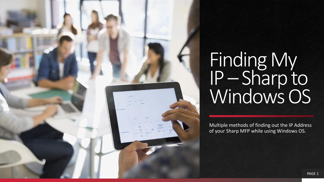

Multiple methods of finding out the IP Address of your Sharp MFP while using Windows OS.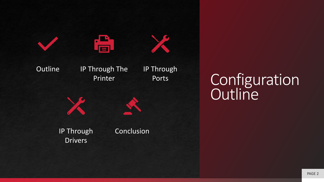

Configuration **Outline**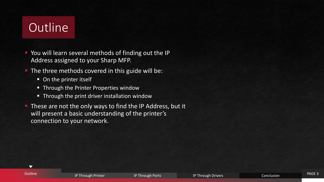# **Outline**

 $\blacktriangledown$ 

- **You will learn several methods of finding out the IP** Address assigned to your Sharp MFP.
- **-** The three methods covered in this guide will be:
	- On the printer itself
	- Through the Printer Properties window
	- Through the print driver installation window
- **EXT** These are not the only ways to find the IP Address, but it will present a basic understanding of the printer's connection to your network.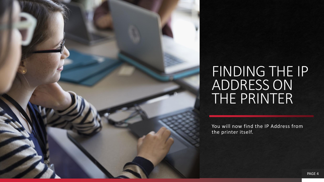#### FINDING THE IP ADDRESS ON THE PRINTER

You will now find the IP Address from the printer itself.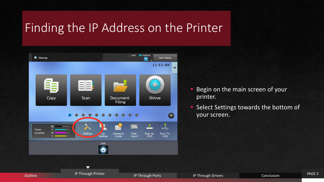#### Finding the IP Address on the Printer



- Begin on the main screen of your printer.
- Select Settings towards the bottom of your screen.

**Outline IP Through Printer IP Through Printer IP Through Ports IP Through Drivers** IP Through Drivers Conclusion

 $\blacktriangledown$ 

PAGE 5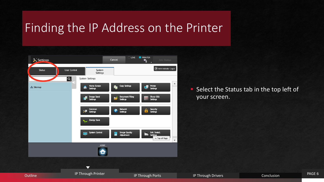#### Finding the IP Address on the Printer



**EXEL Shatus follow Shatus tab in the top left of** your screen.

PAGE 6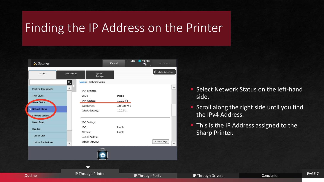#### Finding the IP Address on the Printer



- **E** Select Network Status on the left-hand side.
- **E** Scroll along the right side until you find the IPv4 Address.
- **This is the IP Address assigned to the** Sharp Printer.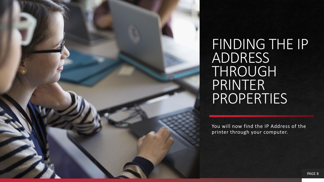FINDING THE IP ADDRESS THROUGH PRINTER **PROPERTIES** 

You will now find the IP Address of the printer through your computer.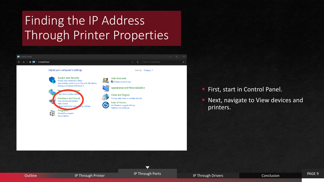## Finding the IP Address Through Printer Properties



**First, start in Control Panel.** 

Next, navigate to View devices and printers.

 $\blacktriangledown$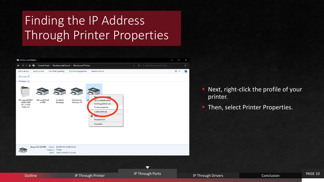## Finding the IP Address Through Printer Properties



- **E** Next, right-click the profile of your printer.
- **· Then, select Printer Properties.**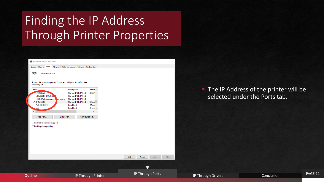## Finding the IP Address Through Printer Properties

| Sharp MX-3570N Properties                                                                                                                                                                                                              |                                                                                                                                                                                                                                                                                                   | ×                             |                    |                                                           |
|----------------------------------------------------------------------------------------------------------------------------------------------------------------------------------------------------------------------------------------|---------------------------------------------------------------------------------------------------------------------------------------------------------------------------------------------------------------------------------------------------------------------------------------------------|-------------------------------|--------------------|-----------------------------------------------------------|
|                                                                                                                                                                                                                                        | General Sharing Ports Advanced Color Management Security Configuration                                                                                                                                                                                                                            |                               |                    |                                                           |
| S<br>Sharp MX-3570N                                                                                                                                                                                                                    |                                                                                                                                                                                                                                                                                                   |                               |                    |                                                           |
| Print to the following port(s). Documents will print to the first free<br>checked port.                                                                                                                                                |                                                                                                                                                                                                                                                                                                   |                               |                    |                                                           |
| Port<br>$-192.168.2.5$<br>fe80::2631:84ff:fe35:5a<br>NPI84DA76.lesolsoncon any.com<br>$\sqrt{}$ IP_10.0.2.88<br>PORTPROMPT:<br>$\sum_{\text{null}}$<br>$\langle$<br>Add Port<br>Enable bidirectional support<br>Enable printer pooling | Printe ^<br><b>Description</b><br><b>Standard TCP/IP Port</b><br><b>SHAR</b><br><b>Standard TCP/IP Port</b><br>Standard TCP/IP Port<br><b>Standard TCP/IP Port</b><br>Sharp<br><b>Local Port</b><br>Micro<br><b>Local Port</b><br>OneN U<br>$\rightarrow$<br>Configure Port<br><b>Delete Port</b> |                               |                    | The IP Address of the print<br>selected under the Ports t |
|                                                                                                                                                                                                                                        |                                                                                                                                                                                                                                                                                                   | OK<br>Cancel<br>Help<br>Apply |                    |                                                           |
| <b>Outline</b>                                                                                                                                                                                                                         | IP Through Printer                                                                                                                                                                                                                                                                                | IP Through Ports              | IP Through Drivers | Conclusion                                                |

**The IP Address of the printer will be** selected under the Ports tab.

PAGE 11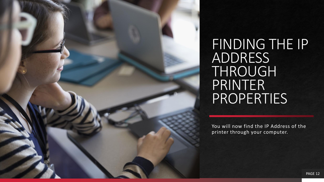FINDING THE IP ADDRESS THROUGH PRINTER **PROPERTIES** 

You will now find the IP Address of the printer through your computer.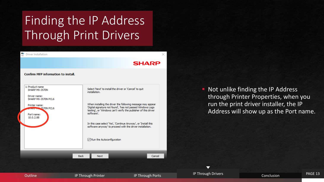#### Finding the IP Address Through Print Drivers



**E** Not unlike finding the IP Address through Printer Properties, when you run the print driver installer, the IP Address will show up as the Port name.

 $\overline{\phantom{0}}$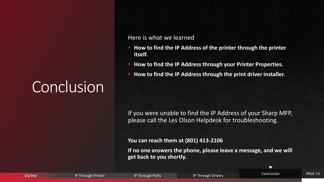# Conclusion

#### Here is what we learned

- **How to find the IP Address of the printer through the printer itself.**
- **How to find the IP Address through your Printer Properties.**
- How to find the IP Address through the print driver installer.

If you were unable to find the IP Address of your Sharp MFP, please call the Les Olson Helpdesk for troubleshooting.

**You can reach them at (801) 413-2106**

**If no one answers the phone, please leave a message, and we will get back to you shortly.**

| <b>Outline</b> | Through Printer | <b>IP Through Ports</b> | IP Through Drivers | Conclusion | PAGE 14 |
|----------------|-----------------|-------------------------|--------------------|------------|---------|
|                |                 |                         |                    |            |         |

 $\blacktriangledown$